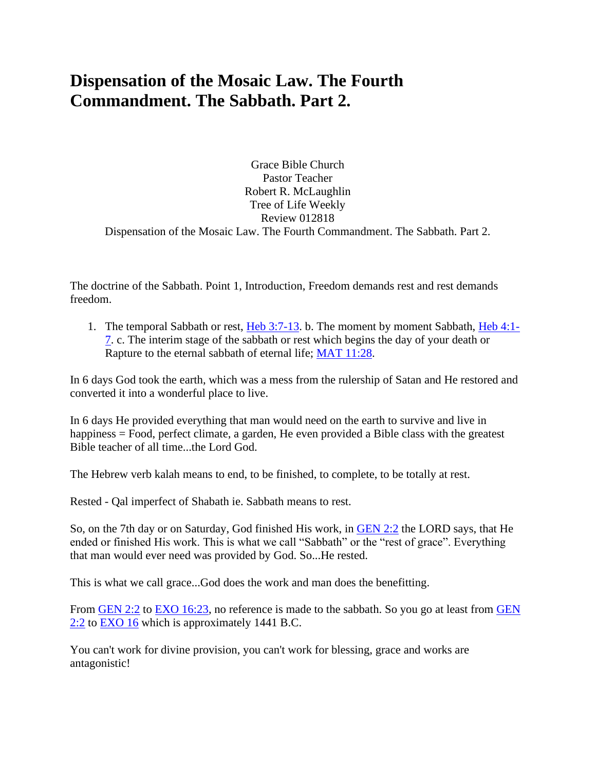## **Dispensation of the Mosaic Law. The Fourth Commandment. The Sabbath. Part 2.**

Grace Bible Church Pastor Teacher Robert R. McLaughlin Tree of Life Weekly Review 012818 Dispensation of the Mosaic Law. The Fourth Commandment. The Sabbath. Part 2.

The doctrine of the Sabbath. Point 1, Introduction, Freedom demands rest and rest demands freedom.

1. The temporal Sabbath or rest, [Heb 3:7-13.](https://www.bibleserver.com/text/NIV/Hebrews3%3A7-13) b. The moment by moment Sabbath, [Heb 4:1-](https://www.bibleserver.com/text/NIV/Hebrews4%3A1-7) [7.](https://www.bibleserver.com/text/NIV/Hebrews4%3A1-7) c. The interim stage of the sabbath or rest which begins the day of your death or Rapture to the eternal sabbath of eternal life; [MAT 11:28.](https://www.bibleserver.com/text/NIV/Matthew11%3A28)

In 6 days God took the earth, which was a mess from the rulership of Satan and He restored and converted it into a wonderful place to live.

In 6 days He provided everything that man would need on the earth to survive and live in happiness = Food, perfect climate, a garden, He even provided a Bible class with the greatest Bible teacher of all time...the Lord God.

The Hebrew verb kalah means to end, to be finished, to complete, to be totally at rest.

Rested - Qal imperfect of Shabath ie. Sabbath means to rest.

So, on the 7th day or on Saturday, God finished His work, in [GEN 2:2](https://www.bibleserver.com/text/NIV/Genesis2%3A2) the LORD says, that He ended or finished His work. This is what we call "Sabbath" or the "rest of grace". Everything that man would ever need was provided by God. So...He rested.

This is what we call grace...God does the work and man does the benefitting.

From [GEN 2:2](https://www.bibleserver.com/text/NIV/Genesis2%3A2) to [EXO 16:23,](https://www.bibleserver.com/text/NIV/Exodus16%3A23) no reference is made to the sabbath. So you go at least from GEN [2:2](https://www.bibleserver.com/text/NIV/Genesis2%3A2) to [EXO 16](https://www.bibleserver.com/text/NIV/Exodus16) which is approximately 1441 B.C.

You can't work for divine provision, you can't work for blessing, grace and works are antagonistic!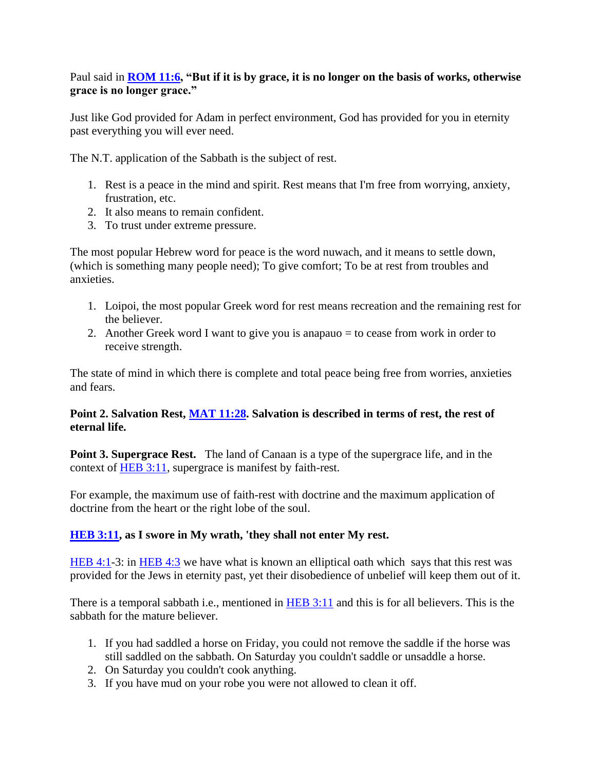## Paul said in **[ROM 11:6,](https://www.bibleserver.com/text/NIV/Romans11%3A6) "But if it is by grace, it is no longer on the basis of works, otherwise grace is no longer grace."**

Just like God provided for Adam in perfect environment, God has provided for you in eternity past everything you will ever need.

The N.T. application of the Sabbath is the subject of rest.

- 1. Rest is a peace in the mind and spirit. Rest means that I'm free from worrying, anxiety, frustration, etc.
- 2. It also means to remain confident.
- 3. To trust under extreme pressure.

The most popular Hebrew word for peace is the word nuwach, and it means to settle down, (which is something many people need); To give comfort; To be at rest from troubles and anxieties.

- 1. Loipoi, the most popular Greek word for rest means recreation and the remaining rest for the believer.
- 2. Another Greek word I want to give you is anapauo = to cease from work in order to receive strength.

The state of mind in which there is complete and total peace being free from worries, anxieties and fears.

## **Point 2. Salvation Rest, [MAT 11:28.](https://www.bibleserver.com/text/NIV/Matthew11%3A28) Salvation is described in terms of rest, the rest of eternal life.**

**Point 3. Supergrace Rest.** The land of Canaan is a type of the supergrace life, and in the context of **HEB 3:11**, supergrace is manifest by faith-rest.

For example, the maximum use of faith-rest with doctrine and the maximum application of doctrine from the heart or the right lobe of the soul.

## **[HEB 3:11,](https://www.bibleserver.com/text/NIV/Hebrews3%3A11) as I swore in My wrath, 'they shall not enter My rest.**

[HEB 4:1-](https://www.bibleserver.com/text/NIV/Hebrews4%3A1)3: in [HEB 4:3](https://www.bibleserver.com/text/NIV/Hebrews4%3A3) we have what is known an elliptical oath which says that this rest was provided for the Jews in eternity past, yet their disobedience of unbelief will keep them out of it.

There is a temporal sabbath i.e., mentioned in [HEB 3:11](https://www.bibleserver.com/text/NIV/Hebrews3%3A11) and this is for all believers. This is the sabbath for the mature believer.

- 1. If you had saddled a horse on Friday, you could not remove the saddle if the horse was still saddled on the sabbath. On Saturday you couldn't saddle or unsaddle a horse.
- 2. On Saturday you couldn't cook anything.
- 3. If you have mud on your robe you were not allowed to clean it off.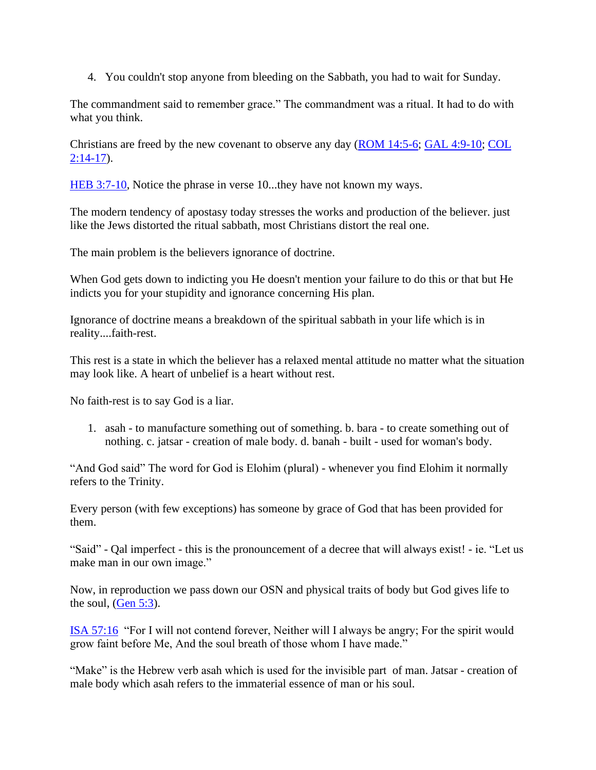4. You couldn't stop anyone from bleeding on the Sabbath, you had to wait for Sunday.

The commandment said to remember grace." The commandment was a ritual. It had to do with what you think.

Christians are freed by the new covenant to observe any day [\(ROM 14:5-6;](https://www.bibleserver.com/text/NIV/Romans14%3A5-6) [GAL 4:9-10;](https://www.bibleserver.com/text/NIV/Galatians4%3A9-10) [COL](https://www.bibleserver.com/text/NIV/Colossians2%3A14-17)   $2:14-17$ ).

HEB [3:7-10,](https://www.bibleserver.com/text/NIV/Hebrews3%3A7-10) Notice the phrase in verse 10...they have not known my ways.

The modern tendency of apostasy today stresses the works and production of the believer. just like the Jews distorted the ritual sabbath, most Christians distort the real one.

The main problem is the believers ignorance of doctrine.

When God gets down to indicting you He doesn't mention your failure to do this or that but He indicts you for your stupidity and ignorance concerning His plan.

Ignorance of doctrine means a breakdown of the spiritual sabbath in your life which is in reality....faith-rest.

This rest is a state in which the believer has a relaxed mental attitude no matter what the situation may look like. A heart of unbelief is a heart without rest.

No faith-rest is to say God is a liar.

1. asah - to manufacture something out of something. b. bara - to create something out of nothing. c. jatsar - creation of male body. d. banah - built - used for woman's body.

"And God said" The word for God is Elohim (plural) - whenever you find Elohim it normally refers to the Trinity.

Every person (with few exceptions) has someone by grace of God that has been provided for them.

"Said" - Qal imperfect - this is the pronouncement of a decree that will always exist! - ie. "Let us make man in our own image."

Now, in reproduction we pass down our OSN and physical traits of body but God gives life to the soul, [\(Gen 5:3\)](https://www.bibleserver.com/text/NIV/Genesis5%3A3).

[ISA 57:16](https://www.bibleserver.com/text/NIV/Isaiah57%3A16) "For I will not contend forever, Neither will I always be angry; For the spirit would grow faint before Me, And the soul breath of those whom I have made."

"Make" is the Hebrew verb asah which is used for the invisible part of man. Jatsar - creation of male body which asah refers to the immaterial essence of man or his soul.